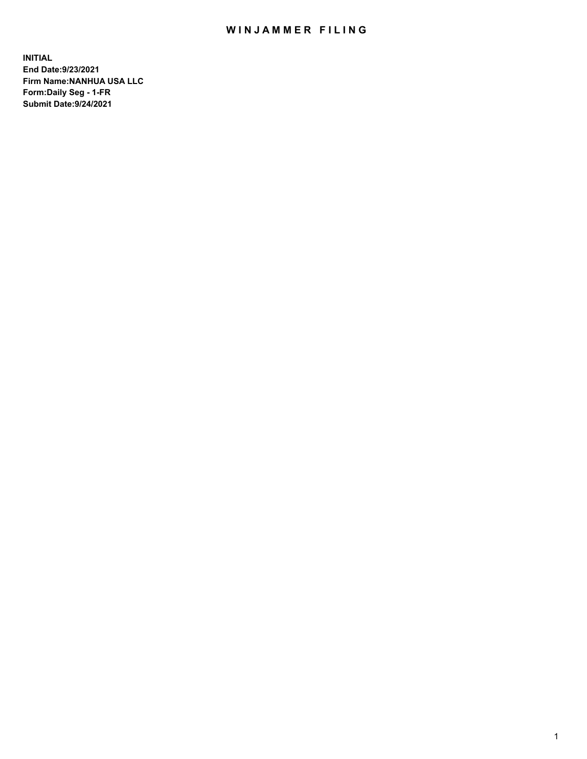## WIN JAMMER FILING

**INITIAL End Date:9/23/2021 Firm Name:NANHUA USA LLC Form:Daily Seg - 1-FR Submit Date:9/24/2021**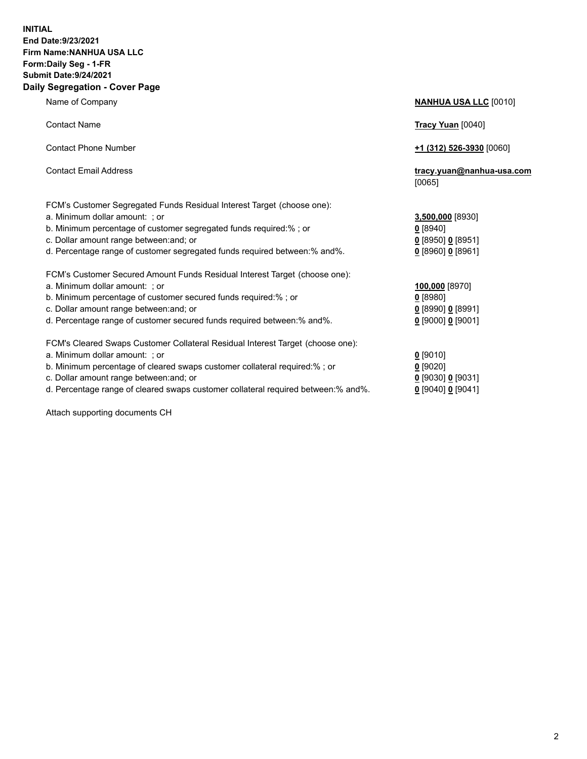## **INITIAL End Date:9/23/2021 Firm Name:NANHUA USA LLC Form:Daily Seg - 1-FR Submit Date:9/24/2021 Daily Segregation - Cover Page**

Name of Company **NANHUA USA LLC** [0010] Contact Name **Tracy Yuan** [0040] Contact Phone Number **+1 (312) 526-3930** [0060] Contact Email Address **tracy.yuan@nanhua-usa.com** [0065] FCM's Customer Segregated Funds Residual Interest Target (choose one): a. Minimum dollar amount: ; or **3,500,000** [8930] b. Minimum percentage of customer segregated funds required:% ; or **0** [8940] c. Dollar amount range between:and; or **0** [8950] **0** [8951] d. Percentage range of customer segregated funds required between:% and%. **0** [8960] **0** [8961] FCM's Customer Secured Amount Funds Residual Interest Target (choose one): a. Minimum dollar amount: ; or **100,000** [8970] b. Minimum percentage of customer secured funds required:% ; or **0** [8980] c. Dollar amount range between:and; or **0** [8990] **0** [8991] d. Percentage range of customer secured funds required between:% and%. **0** [9000] **0** [9001] FCM's Cleared Swaps Customer Collateral Residual Interest Target (choose one): a. Minimum dollar amount: ; or **0** [9010] b. Minimum percentage of cleared swaps customer collateral required:% ; or **0** [9020] c. Dollar amount range between:and; or **0** [9030] **0** [9031]

d. Percentage range of cleared swaps customer collateral required between:% and%. **0** [9040] **0** [9041]

Attach supporting documents CH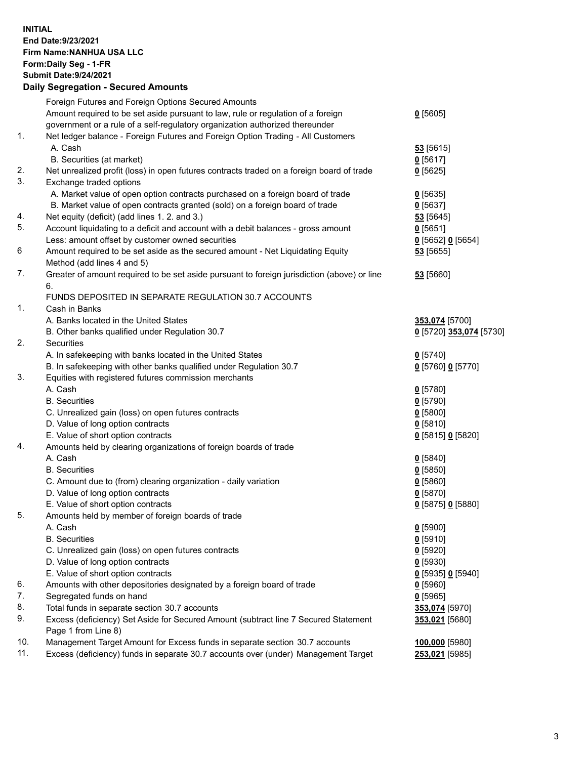## **INITIAL End Date:9/23/2021 Firm Name:NANHUA USA LLC Form:Daily Seg - 1-FR Submit Date:9/24/2021 Daily Segregation - Secured Amounts**

|     | Foreign Futures and Foreign Options Secured Amounts                                                                                |                                    |
|-----|------------------------------------------------------------------------------------------------------------------------------------|------------------------------------|
|     | Amount required to be set aside pursuant to law, rule or regulation of a foreign                                                   | $0$ [5605]                         |
|     | government or a rule of a self-regulatory organization authorized thereunder                                                       |                                    |
| 1.  | Net ledger balance - Foreign Futures and Foreign Option Trading - All Customers                                                    |                                    |
|     | A. Cash                                                                                                                            | 53 [5615]                          |
|     | B. Securities (at market)                                                                                                          | $0$ [5617]                         |
| 2.  | Net unrealized profit (loss) in open futures contracts traded on a foreign board of trade                                          | $0$ [5625]                         |
| 3.  | Exchange traded options                                                                                                            |                                    |
|     | A. Market value of open option contracts purchased on a foreign board of trade                                                     | $0$ [5635]                         |
| 4.  | B. Market value of open contracts granted (sold) on a foreign board of trade                                                       | $0$ [5637]                         |
| 5.  | Net equity (deficit) (add lines 1. 2. and 3.)<br>Account liquidating to a deficit and account with a debit balances - gross amount | $53$ [5645]<br>$0$ [5651]          |
|     | Less: amount offset by customer owned securities                                                                                   |                                    |
| 6   | Amount required to be set aside as the secured amount - Net Liquidating Equity                                                     | $0$ [5652] $0$ [5654]<br>53 [5655] |
|     | Method (add lines 4 and 5)                                                                                                         |                                    |
| 7.  | Greater of amount required to be set aside pursuant to foreign jurisdiction (above) or line                                        | 53 [5660]                          |
|     | 6.                                                                                                                                 |                                    |
|     | FUNDS DEPOSITED IN SEPARATE REGULATION 30.7 ACCOUNTS                                                                               |                                    |
| 1.  | Cash in Banks                                                                                                                      |                                    |
|     | A. Banks located in the United States                                                                                              | 353,074 [5700]                     |
|     | B. Other banks qualified under Regulation 30.7                                                                                     | 0 [5720] 353,074 [5730]            |
| 2.  | Securities                                                                                                                         |                                    |
|     | A. In safekeeping with banks located in the United States                                                                          | $0$ [5740]                         |
|     | B. In safekeeping with other banks qualified under Regulation 30.7                                                                 | 0 [5760] 0 [5770]                  |
| 3.  | Equities with registered futures commission merchants                                                                              |                                    |
|     | A. Cash                                                                                                                            | $0$ [5780]                         |
|     | <b>B.</b> Securities                                                                                                               | $0$ [5790]                         |
|     | C. Unrealized gain (loss) on open futures contracts                                                                                | $0$ [5800]                         |
|     | D. Value of long option contracts                                                                                                  | $0$ [5810]                         |
|     | E. Value of short option contracts                                                                                                 | 0 [5815] 0 [5820]                  |
| 4.  | Amounts held by clearing organizations of foreign boards of trade                                                                  |                                    |
|     | A. Cash                                                                                                                            | $0$ [5840]                         |
|     | <b>B.</b> Securities                                                                                                               | $0$ [5850]                         |
|     | C. Amount due to (from) clearing organization - daily variation                                                                    | 0[5860]                            |
|     | D. Value of long option contracts                                                                                                  | $0$ [5870]                         |
|     | E. Value of short option contracts                                                                                                 | 0 [5875] 0 [5880]                  |
| 5.  | Amounts held by member of foreign boards of trade                                                                                  |                                    |
|     | A. Cash                                                                                                                            | $0$ [5900]                         |
|     | <b>B.</b> Securities                                                                                                               | $0$ [5910]                         |
|     | C. Unrealized gain (loss) on open futures contracts                                                                                | $0$ [5920]                         |
|     | D. Value of long option contracts                                                                                                  | $0$ [5930]                         |
|     | E. Value of short option contracts                                                                                                 | $0$ [5935] 0 [5940]                |
| 6.  | Amounts with other depositories designated by a foreign board of trade                                                             | $0$ [5960]                         |
| 7.  | Segregated funds on hand                                                                                                           | 0[5965]                            |
| 8.  | Total funds in separate section 30.7 accounts                                                                                      | 353,074 [5970]                     |
| 9.  | Excess (deficiency) Set Aside for Secured Amount (subtract line 7 Secured Statement<br>Page 1 from Line 8)                         | 353,021 [5680]                     |
| 10. | Management Target Amount for Excess funds in separate section 30.7 accounts                                                        | 100,000 [5980]                     |
| 11. | Excess (deficiency) funds in separate 30.7 accounts over (under) Management Target                                                 | 253,021 [5985]                     |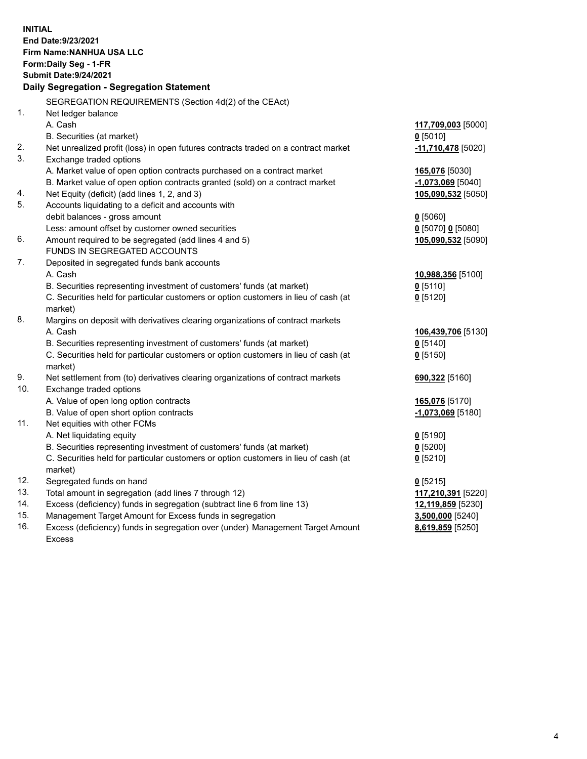| <b>INITIAL</b><br>End Date: 9/23/2021<br>Firm Name: NANHUA USA LLC<br>Form: Daily Seg - 1-FR<br><b>Submit Date: 9/24/2021</b><br>Daily Segregation - Segregation Statement |                                                                                                |                     |  |  |
|----------------------------------------------------------------------------------------------------------------------------------------------------------------------------|------------------------------------------------------------------------------------------------|---------------------|--|--|
|                                                                                                                                                                            | SEGREGATION REQUIREMENTS (Section 4d(2) of the CEAct)                                          |                     |  |  |
| 1.                                                                                                                                                                         | Net ledger balance                                                                             |                     |  |  |
|                                                                                                                                                                            | A. Cash                                                                                        | 117,709,003 [5000]  |  |  |
|                                                                                                                                                                            | B. Securities (at market)                                                                      | $0$ [5010]          |  |  |
| 2.                                                                                                                                                                         | Net unrealized profit (loss) in open futures contracts traded on a contract market             | -11,710,478 [5020]  |  |  |
| 3.                                                                                                                                                                         | Exchange traded options                                                                        |                     |  |  |
|                                                                                                                                                                            | A. Market value of open option contracts purchased on a contract market                        | 165,076 [5030]      |  |  |
|                                                                                                                                                                            | B. Market value of open option contracts granted (sold) on a contract market                   | $-1,073,069$ [5040] |  |  |
| 4.                                                                                                                                                                         | Net Equity (deficit) (add lines 1, 2, and 3)                                                   | 105,090,532 [5050]  |  |  |
| 5.                                                                                                                                                                         | Accounts liquidating to a deficit and accounts with                                            |                     |  |  |
|                                                                                                                                                                            | debit balances - gross amount                                                                  | $0$ [5060]          |  |  |
|                                                                                                                                                                            | Less: amount offset by customer owned securities                                               | 0 [5070] 0 [5080]   |  |  |
| 6.                                                                                                                                                                         | Amount required to be segregated (add lines 4 and 5)                                           | 105,090,532 [5090]  |  |  |
|                                                                                                                                                                            | FUNDS IN SEGREGATED ACCOUNTS                                                                   |                     |  |  |
| 7.                                                                                                                                                                         | Deposited in segregated funds bank accounts                                                    |                     |  |  |
|                                                                                                                                                                            | A. Cash                                                                                        | 10,988,356 [5100]   |  |  |
|                                                                                                                                                                            | B. Securities representing investment of customers' funds (at market)                          | $0$ [5110]          |  |  |
|                                                                                                                                                                            | C. Securities held for particular customers or option customers in lieu of cash (at<br>market) | $0$ [5120]          |  |  |
| 8.                                                                                                                                                                         | Margins on deposit with derivatives clearing organizations of contract markets                 |                     |  |  |
|                                                                                                                                                                            | A. Cash                                                                                        | 106,439,706 [5130]  |  |  |
|                                                                                                                                                                            | B. Securities representing investment of customers' funds (at market)                          | $0$ [5140]          |  |  |
|                                                                                                                                                                            | C. Securities held for particular customers or option customers in lieu of cash (at            | $0$ [5150]          |  |  |
|                                                                                                                                                                            | market)                                                                                        |                     |  |  |
| 9.                                                                                                                                                                         | Net settlement from (to) derivatives clearing organizations of contract markets                | 690,322 [5160]      |  |  |
| 10.                                                                                                                                                                        | Exchange traded options                                                                        |                     |  |  |
|                                                                                                                                                                            | A. Value of open long option contracts                                                         | 165,076 [5170]      |  |  |
|                                                                                                                                                                            | B. Value of open short option contracts                                                        | -1,073,069 [5180]   |  |  |
| 11.                                                                                                                                                                        | Net equities with other FCMs                                                                   |                     |  |  |
|                                                                                                                                                                            | A. Net liquidating equity                                                                      | $0$ [5190]          |  |  |
|                                                                                                                                                                            | B. Securities representing investment of customers' funds (at market)                          | $0$ [5200]          |  |  |
|                                                                                                                                                                            | C. Securities held for particular customers or option customers in lieu of cash (at            | $0$ [5210]          |  |  |
|                                                                                                                                                                            | market)                                                                                        |                     |  |  |
| 12.                                                                                                                                                                        | Segregated funds on hand                                                                       | $0$ [5215]          |  |  |
| 13.                                                                                                                                                                        | Total amount in segregation (add lines 7 through 12)                                           | 117,210,391 [5220]  |  |  |
| 14.                                                                                                                                                                        | Excess (deficiency) funds in segregation (subtract line 6 from line 13)                        | 12,119,859 [5230]   |  |  |
| 15.                                                                                                                                                                        | Management Target Amount for Excess funds in segregation                                       | 3,500,000 [5240]    |  |  |
| 16.                                                                                                                                                                        | Excess (deficiency) funds in segregation over (under) Management Target Amount                 | 8,619,859 [5250]    |  |  |
|                                                                                                                                                                            | <b>Excess</b>                                                                                  |                     |  |  |